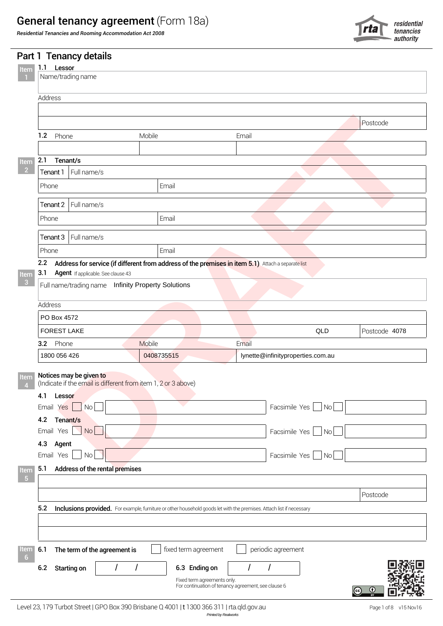# General tenancy agreement (Form 18a)

*Residential Tenancies and Rooming Accommodation Act 2008*



|                                                               |                 |                                    |                                                                                                                      |                                   |     | $\sim$ authority |
|---------------------------------------------------------------|-----------------|------------------------------------|----------------------------------------------------------------------------------------------------------------------|-----------------------------------|-----|------------------|
|                                                               |                 | Part 1 Tenancy details             |                                                                                                                      |                                   |     |                  |
| Item                                                          | 1.1 Lessor      |                                    |                                                                                                                      |                                   |     |                  |
| $\blacksquare$                                                |                 | Name/trading name                  |                                                                                                                      |                                   |     |                  |
|                                                               | Address         |                                    |                                                                                                                      |                                   |     |                  |
|                                                               |                 |                                    |                                                                                                                      |                                   |     |                  |
|                                                               |                 |                                    |                                                                                                                      |                                   |     | Postcode         |
|                                                               | 1.2 Phone       |                                    | Mobile                                                                                                               | Email                             |     |                  |
|                                                               |                 |                                    |                                                                                                                      |                                   |     |                  |
|                                                               | 2.1 Tenant/s    |                                    |                                                                                                                      |                                   |     |                  |
| Item<br>$\begin{array}{ c c } \hline 2 \\ \hline \end{array}$ | Tenant 1        | Full name/s                        |                                                                                                                      |                                   |     |                  |
|                                                               |                 |                                    |                                                                                                                      |                                   |     |                  |
|                                                               | Phone           |                                    | Email                                                                                                                |                                   |     |                  |
|                                                               |                 | Tenant 2 Full name/s               |                                                                                                                      |                                   |     |                  |
|                                                               | Phone           |                                    | Email                                                                                                                |                                   |     |                  |
|                                                               |                 |                                    |                                                                                                                      |                                   |     |                  |
|                                                               |                 | Tenant 3 Full name/s               |                                                                                                                      |                                   |     |                  |
|                                                               | Phone           |                                    | Email                                                                                                                |                                   |     |                  |
|                                                               |                 |                                    | 2.2 Address for service (if different from address of the premises in item 5.1) Attach a separate list               |                                   |     |                  |
| Item                                                          | 3.1             | Agent If applicable. See clause 43 |                                                                                                                      |                                   |     |                  |
| $\overline{\phantom{a}}$ 3                                    |                 |                                    | Full name/trading name Infinity Property Solutions                                                                   |                                   |     |                  |
|                                                               | Address         |                                    |                                                                                                                      |                                   |     |                  |
|                                                               | PO Box 4572     |                                    |                                                                                                                      |                                   |     |                  |
|                                                               |                 |                                    |                                                                                                                      |                                   |     |                  |
|                                                               | FOREST LAKE     |                                    |                                                                                                                      |                                   | QLD | Postcode 4078    |
|                                                               | 3.2 Phone       |                                    | Mobile                                                                                                               | Email                             |     |                  |
|                                                               | 1800 056 426    |                                    | 0408735515                                                                                                           | lynette@infinityproperties.com.au |     |                  |
|                                                               |                 | Notices may be given to            |                                                                                                                      |                                   |     |                  |
| Item<br>$\overline{4}$                                        |                 |                                    | (Indicate if the email is different from item 1, 2 or 3 above)                                                       |                                   |     |                  |
|                                                               | 4.1             | Lessor                             |                                                                                                                      |                                   |     |                  |
|                                                               | Email           | N <sub>O</sub><br>Yes              |                                                                                                                      | Facsimile Yes No                  |     |                  |
|                                                               | 4.2             | Tenant/s                           |                                                                                                                      |                                   |     |                  |
|                                                               | Email           | $Yes$ $No$                         |                                                                                                                      | Facsimile Yes   No                |     |                  |
|                                                               | 4.3             | Agent                              |                                                                                                                      |                                   |     |                  |
|                                                               | Email           | $\Box$ No $\Box$<br>Yes            |                                                                                                                      | Facsimile Yes   No                |     |                  |
| Item                                                          | 5.1             | Address of the rental premises     |                                                                                                                      |                                   |     |                  |
| $-5$                                                          |                 |                                    |                                                                                                                      |                                   |     |                  |
|                                                               |                 |                                    |                                                                                                                      |                                   |     | Postcode         |
|                                                               |                 |                                    |                                                                                                                      |                                   |     |                  |
|                                                               | 5.2             |                                    | Inclusions provided. For example, furniture or other household goods let with the premises. Attach list if necessary |                                   |     |                  |
|                                                               |                 |                                    |                                                                                                                      |                                   |     |                  |
|                                                               |                 |                                    |                                                                                                                      |                                   |     |                  |
| Item<br>6                                                     | 6.1             | The term of the agreement is       | fixed term agreement                                                                                                 | periodic agreement                |     |                  |
|                                                               |                 |                                    |                                                                                                                      |                                   |     |                  |
|                                                               | 6.2 Starting on |                                    | 6.3 Ending on                                                                                                        |                                   |     |                  |

 $\circledcirc$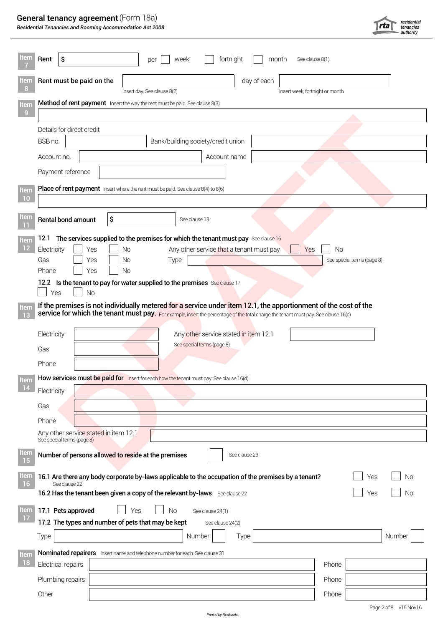# General tenancy agreement (Form 18a)

*Residential Tenancies and Rooming Accommodation Act 2008*

| Item                          | Rent<br>∣\$<br>fortnight<br>month<br>See clause 8(1)<br>week<br>per                                                                            |                                  |  |  |  |  |  |  |
|-------------------------------|------------------------------------------------------------------------------------------------------------------------------------------------|----------------------------------|--|--|--|--|--|--|
| <b>Item</b><br>8 <sup>2</sup> | Rent must be paid on the<br>day of each                                                                                                        |                                  |  |  |  |  |  |  |
| Item                          | Insert week, fortnight or month<br>Insert day. See clause 8(2)<br>Method of rent payment Insert the way the rent must be paid. See clause 8(3) |                                  |  |  |  |  |  |  |
| $\overline{9}$                |                                                                                                                                                |                                  |  |  |  |  |  |  |
|                               | Details for direct credit                                                                                                                      |                                  |  |  |  |  |  |  |
|                               | Bank/building society/credit union<br>BSB no.                                                                                                  |                                  |  |  |  |  |  |  |
|                               | Account name<br>Account no.                                                                                                                    |                                  |  |  |  |  |  |  |
|                               | Payment reference                                                                                                                              |                                  |  |  |  |  |  |  |
| Item<br>10                    | Place of rent payment Insert where the rent must be paid. See clause 8(4) to 8(6)                                                              |                                  |  |  |  |  |  |  |
|                               |                                                                                                                                                |                                  |  |  |  |  |  |  |
| Item<br>$11$                  | \$<br>Rental bond amount<br>See clause 13                                                                                                      |                                  |  |  |  |  |  |  |
| Item                          | The services supplied to the premises for which the tenant must pay See clause 16<br>12.1                                                      |                                  |  |  |  |  |  |  |
| $\overline{12}$               | Electricity<br>Any other service that a tenant must pay<br>Yes<br>Yes<br>No<br>Gas<br>No                                                       | No<br>See special terms (page 8) |  |  |  |  |  |  |
|                               | Type<br>Yes<br>Yes<br>No<br>Phone                                                                                                              |                                  |  |  |  |  |  |  |
|                               | 12.2 Is the tenant to pay for water supplied to the premises See clause 17                                                                     |                                  |  |  |  |  |  |  |
|                               | Yes<br><b>No</b><br>If the premises is not individually metered for a service under item 12.1, the apportionment of the cost of the            |                                  |  |  |  |  |  |  |
| Item<br>13                    | service for which the tenant must pay. For example, insert the percentage of the total charge the tenant must pay. See clause 16(c)            |                                  |  |  |  |  |  |  |
|                               | Electricity<br>Any other service stated in item 12.1                                                                                           |                                  |  |  |  |  |  |  |
|                               | See special terms (page 8)<br>Gas                                                                                                              |                                  |  |  |  |  |  |  |
|                               | Phone                                                                                                                                          |                                  |  |  |  |  |  |  |
| Item                          | How services must be paid for Insert for each how the tenant must pay. See clause 16(d)                                                        |                                  |  |  |  |  |  |  |
| 14                            | Electricity                                                                                                                                    |                                  |  |  |  |  |  |  |
|                               | Gas                                                                                                                                            |                                  |  |  |  |  |  |  |
|                               | Phone                                                                                                                                          |                                  |  |  |  |  |  |  |
|                               | Any other service stated in item 12.1<br>See special terms (page 8)                                                                            |                                  |  |  |  |  |  |  |
| Item<br>$15$                  | Number of persons allowed to reside at the premises<br>See clause 23                                                                           |                                  |  |  |  |  |  |  |
| Item                          | 16.1 Are there any body corporate by-laws applicable to the occupation of the premises by a tenant?                                            | No<br>Yes                        |  |  |  |  |  |  |
| 16 <sup>1</sup>               | See clause 22<br>16.2 Has the tenant been given a copy of the relevant by-laws See clause 22                                                   | No<br>Yes                        |  |  |  |  |  |  |
|                               |                                                                                                                                                |                                  |  |  |  |  |  |  |
| Item<br>$\frac{17}{17}$       | 17.1 Pets approved<br>Yes<br>No<br>See clause 24(1)<br>17.2 The types and number of pets that may be kept<br>See clause 24(2)                  |                                  |  |  |  |  |  |  |
|                               | Type<br>Number<br>Type                                                                                                                         | Number                           |  |  |  |  |  |  |
| Item                          | Nominated repairers Insert name and telephone number for each. See clause 31                                                                   |                                  |  |  |  |  |  |  |
| $\boxed{18}$                  | Electrical repairs                                                                                                                             | Phone                            |  |  |  |  |  |  |
|                               | Plumbing repairs                                                                                                                               | Phone                            |  |  |  |  |  |  |
|                               | Other                                                                                                                                          | Phone                            |  |  |  |  |  |  |
|                               |                                                                                                                                                |                                  |  |  |  |  |  |  |

residential<br>tenancies<br>- authority

 $|$ rta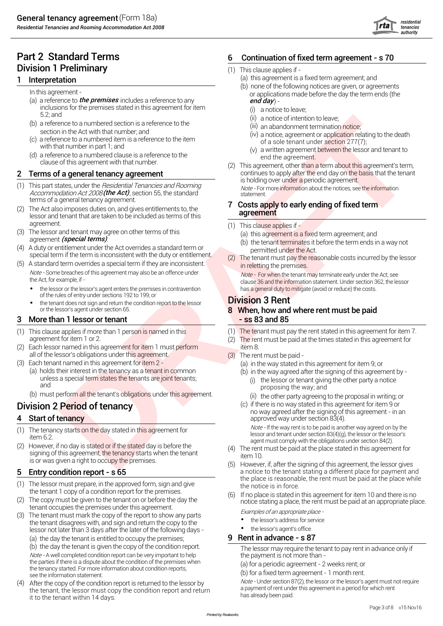- (a) a reference to *the premises* includes a reference to any **canonical community of the premises** includes a reference to any  $\epsilon$ inclusions for the premises stated in this agreement for item 5.2; and
- (b) a reference to a numbered section is a reference to the section in the Act with that number; and
- (c) a reference to a numbered item is a reference to the item with that number in part 1; and
- (d) a reference to a numbered clause is a reference to the clause of this agreement with that number.

- (1) This part states, under the *Residential Tenancies and Rooming Note* For more information about the notices, see the information<br>A*ccommodation Act 2008 (the Act),* section 55, the standard statement. is statement. terms of a general tenancy agreement.<br>The Ast also imposes duties are not given entitlements to the **7** Costs apply to early ending of fixed term
- (2) The Act also imposes duties on, and gives entitlements to, the lessor and tenant that are taken to be included as terms of this
- (3) The lessor and tenant may agree on other terms of this (a) this agreement is a fixed term agreement; and agreement (special terms).
- A duty or entitiement under the Act overrides a standard term or emitted under the Act.<br>Special term if the term is inconsistent with the duty or entitlement. (2) The tenant must pay the reasonable costs incurred by the le
- (5) A standard term overrides a special term if they are inconsistent. Note - Some breaches of this agreement may also be an offence under the Act, for example, if
	- of the rules of entry under sections 192 to 199; or
	- the tenant does not sign and return the condition report to the lessor **Division 3 Rent** or the lessor's agent under section 65. **8 When, how and where rent must be paid**

### 3 More than 1 lessor or tenant - ss 83 and 85

- (1) This clause applies if more than 1 person is named in this agreement for item 1 or 2.
- (2) Each lessor named in this agreement for item 1 must perform item 8. all of the lessor's obligations under this agreement. (3) The rent must be paid -<br>(3) Each tenant named in this agreement for item 2 - (3) (a) in the way stated in
- 
- Each tenant named in this agreement for item 2 (a) in the way stated in this agreement for item 9; or<br>(a) holds their interest in the tenancy as a tenant in common (b) in the way agreed after the signing of this agreen holds their interest in the tenancy as a tenant in common (b) in the way agreed after the signing of this agreement by -<br>unless a special term states the tenants are joint tenants; (i) the lessor or tenant giving the other and
	- (b) must perform all the tenant's obligations under this agreement.

- (1) The tenancy starts on the day stated in this agreement for item 6.2.
- (2) However, if no day is stated or if the stated day is before the signing of this agreement, the tenancy starts when the tenant is or was given a right to occupy the premises.

### 5 Entry condition report - s 65

- (1) The lessor must prepare, in the approved form, sign and give the tenant 1 copy of a condition report for the premises.
- (2) The copy must be given to the tenant on or before the day the
- (3) The tenant must mark the copy of the report to show any parts the tenant disagrees with, and sign and return the copy to the lessor not later than 3 days after the later of the following days - (a) the day the tenant is entitled to occupy the premises; **9 Rent in advance - s 87**

(b) the day the tenant is given the copy of the condition report.<br>  $\frac{1}{2}$  The lessor may require the tenant to pay rent in advance only if<br>
the payment is not more than -Note - A well completed condition report can be very important to help

the parties if there is a dispute about the condition of the premises when the tenancy started. For more information about condition reports, see the information statement.

(4) After the copy of the condition report is returned to the lessor by the tenant, the lessor must copy the condition report and return it to the tenant within 14 days.

## Part 2 Standard Terms 6 Continuation of fixed term agreement - s 70

- 
- **1** Interpretation **1** Interpretation **1** Interpretation
	- (b) none of the following notices are given, or agreements In this agreement - or applications made before the day the term ends (the
		- (i) a notice to leave;
		- (ii) a notice of intention to leave;
		- (iii) an abandonment termination notice;
		- (iv) a notice, agreement or application relating to the death of a sole tenant under section 277(7);
		- (v) a written agreement between the lessor and tenant to end the agreement.
	- construction and the construction of the state of the construction of the construction of the construction of the construction of the construction of the construction of the construction of the construction of the construc (2) This agreement, other than a term about this agreement's term, **2** Terms of a general tenancy agreement **continues to apply after the end day on the basis that the tenant** is holding over under a periodic agreement.

# agreement

- $(1)$  This clause applies if -
	-
- agreement . (b) the tenant terminates it before the term ends in <sup>a</sup> way not
	- in reletting the premises.

 $\frac{Note}{.}$  For when the tenant may terminate early under the Act, see<br>clause 36 and the information statement. Under section 362, the lessor clause 36 and the information statement. Under section 362, the lessor • clause 36 and the information statement. Under section 362, the lessor • the lessor's agent enters the premises in contravention

- (1) The tenant must pay the rent stated in this agreement for item 7.
- $(2)$  The rent must be paid at the times stated in this agreement for
- - - - (i) the lessor or tenant giving the other party a notice proposing the way; and
			- $(i)$  the other party agreeing to the proposal in writing; or
- Division 2 Period of tenancy (c) if there is no way stated in this agreement for item 9 or no way agreed after the signing of this agreement - in an **4 Start of tenancy** approved way under section 83(4).

Note - If the way rent is to be paid is another way agreed on by the lessor and tenant under section 83(4)(g), the lessor or the lessor's agent must comply with the obligations under section 84(2).

- (4) The rent must be paid at the place stated in this agreement for item 10.
- (5) However, if, after the signing of this agreement, the lessor gives a notice to the tenant stating a different place for payment and the place is reasonable, the rent must be paid at the place while the notice is in force.
- If no place is stated in this agreement for item 10 and there is no notice stating a place, the rent must be paid at an appropriate place.<br>Examples of an appropriate place -

- the lessor's address for service
- the lessor's agent's office

(a) for a periodic agreement - 2 weeks rent; or

(b) for a fixed term agreement - 1 month rent.

Note - Under section 87(2), the lessor or the lessor's agent must not require a payment of rent under this agreement in a period for which rent has already been paid.

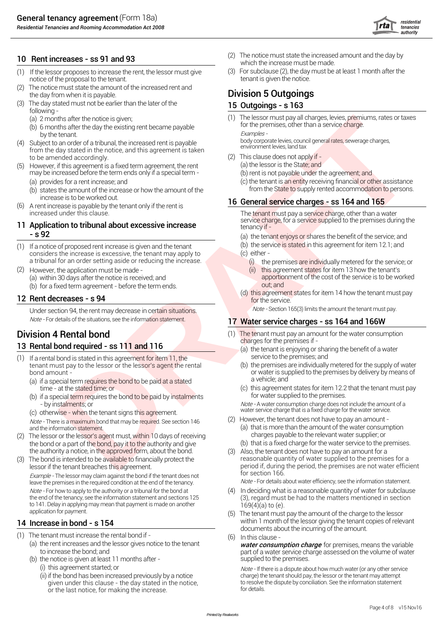*Residential Tenancies and Rooming Accommodation Act 2008*



- (1) If the lessor proposes to increase the rent, the lessor must give (3) For subclause (2), the day must be at least 1 month after the notice of the proposal to the tenant.
- The notice must state the amount of the increased rent and the day from when it is payable. The day from when it is payable.
- (3) The day stated must not be earlier than the later of the  $15$  Outgoings s  $163$ following -
	-
	- (b) 6 months after the day the existing rent became payable. To the property hy the tenant
- (4) Subject to an order of a tribunal, the increased rent is payable from the day stated in the notice, and this agreement is taken to be amended accordingly.
- (5) However, if this agreement is a fixed term agreement, the rent may be increased before the term ends only if a special term -
	-
	- (b) states the amount of the increase or how the amount of the
- (6) A rent increase is payable by the tenant only if the rent is increased under this clause.

# **11 Application to tribunal about excessive increase** tenancy if  $\sim$  service supplied to the tenancy if  $\sim$  5.92

- (1) If a notice of proposed rent increase is given and the tenant considers the increase is excessive, the tenant may apply to a tribunal for an order setting aside or reducing the increase.
- (a) within 30 days after the notice is received; and (b) for a fixed term agreement - before the term ends. Out; and However, the application must be made -

Under section 94, the rent may decrease in certain situations. Note - Section 165(3) limits the amount the tenant must pay.

- (1) If a rental bond is stated in this agreement for item 11, the service to the premises; and tenant must pay to the lessor or the lessor's agent the rental bond amount -
	- (a) if a special term requires the bond to be paid at a stated time at the stated time; or
	- (b) if a special term requires the bond to be paid by instalments for water supplied to the premises.<br>- by instalments; or by instalments; or
	-

Note - There is a maximum bond that may be required. See section 146

- (2) The lessor or the lessor's agent must, within 10 days of receiving the bond or a part of the bond, pay it to the authority and give (b) that is a fixed charge for the water service to the premises. the authority a notice, in the approved form, about the bond.
- (3) The bond is intended to be available to financially protect the lessor if the tenant breaches this agreement. Example - The lessor may claim against the bond if the tenant does not Note - For how to apply to the authority or a tribunal for the bond at the end of the tenancy, see the information statement and sections 125 to 141. Delay in applying may mean that payment is made on another application for payment.

- 
- (1) The tenant must increase the rental bond if -<br>(a) the rent increases and the lessor gives notice to the tenant to increase the bond; and
	- (b) the notice is given at least 11 months after
		- (ii) if the bond has been increased previously by a notice given under this clause - the day stated in the notice, or the last notice, for making the increase.
- 10 Rent increases ss 91 and 93 (2) The notice must state the increased amount and the day by which the increase must be made.
	-

(a) 2 months after the notice is given;<br>(b) 6 months after the day the existing rent became payable for the premises, other than a service charge.

by the tenant.<br>body corporate levies, council general rates, sewerage charges,<br>environment levies, land tax

- (2) This clause does not apply if
	- (a) the lessor is the State; and
		- (b) rent is not payable under the agreement; and
- (a) provides for a rent increase; and (c) the tenant is an entity receiving financial or other assistance<br>(b) states the amount of the increase or how the amount of the from the State to supply rented accommodation to pers

# increase is to be worked out.<br>16 General service charges - ss 164 and 165

The tenant must pay a service charge, other than a water<br>service charge, for a service supplied to the premises during the

- (a) the tenant enjoys or shares the benefit of the service; and
- (b) the service is stated in this agreement for item 12.1; and (c) either -
	- (i) the premises are individually metered for the service; or
	- (ii) this agreement states for item 13 how the tenant's<br>apportionment of the cost of the service is to be worked
- 12 Rent decreases s 94 **and 12 Rent decreases s 94** for the service.

## Note - For details of the situations, see the information statement. 17 Water service charges - ss 164 and 166W

- **Division 4 Rental bond** (1) The tenant must pay an amount for the water consumption<br> **Example 1999** The tenant must pay an amount for the water consumption
- 13 Rental bond required ss 111 and 116 (a) the tenant is enjoying or sharing the benefit of a water<br>(1) If a rental bond is stated in this agreement for item 11 the service to the premises; and
	- (b) the premises are individually metered for the supply of water or water is supplied to the premises by delivery by means of<br>a vehicle: and
	- (c) this agreement states for item 12.2 that the tenant must pay for water supplied to the premises.

- by instalments; or<br>(c) otherwise - when the tenant signs this agreement.<br>Mote - There is a maximum bond that may be required. See section 146 (2) However, the tenant does not have to pay an amount -

- 
- and the information statement.<br>
and the information statement.<br>
The lessor or the lessor's agent must within 10 days of receiving that is more than the amount of the water consumption
- the anti-fix orbits (i) The kear of the fix of the star of the star of the star of the star of the star of the star of the star of the star of the star of the star of the star of the star of the star of the star of the st Also, the tenant does not have to pay an amount for a reasonable quantity of water supplied to the premises for a period if, during the period, the premises are not water efficient for section 166.

leave the premises in the required condition at the end of the tenancy. Note - For details about water efficiency, see the information statement.

- (4) In deciding what is a reasonable quantity of water for subclause (3), regard must be had to the matters mentioned in section 169(4)(a) to (e).
- (5) The tenant must pay the amount of the charge to the lessor 14 Increase in bond - s 154 **Increase in bond - s 154** Within 1 month of the lessor giving the tenant copies of relevant documents about the incurring of the amount.
	- $(6)$  In this clause -

(a) the rent increases and the lessor gives notice to the tenant **for premise**r consumption charge for premises, means the variable part of a water service charge assessed on the volume of water supplied to the premises.

(i) this agreement started; or  $Note - If there is a dispute about how much water (or any other service$ charge) the tenant should pay, the lessor or the tenant may attempt to resolve the dispute by conciliation. See the information statement for details.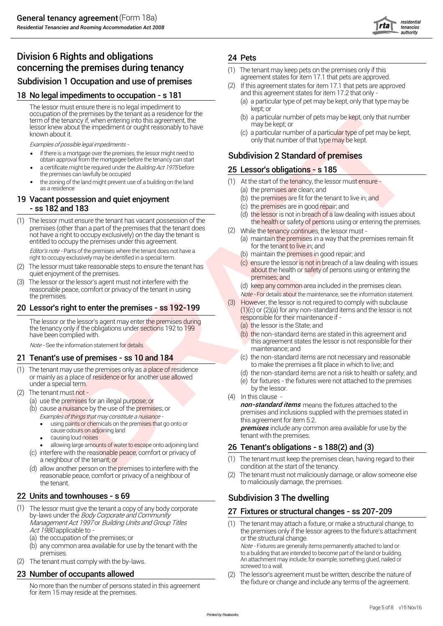

# Division 6 Rights and obligations 24 Pets **concerning the premises during tenancy** (1) The tenant may keep pets on the premises only if this<br> **Cubdivision 1 Occupation and use of premises**

## 18 No legal impediments to occupation - s 181

The lessor must ensure there is no legal impediment to occupation of the premises by the tenant as a residence for the term of the tenancy if, when entering into this agreement, the lessor knew about the impediment or ought reasonably to have known about it.

Examples of possible legal impediments -

- if there is a mortgage over the premises, the lessor might need to **Subdivision 2 Standard of premises** obtain approval from the mortgagee before the tenancy can start if there is a mortgage over the premises, the lessor might need to
- the premises can lawfully be occupied a certificate might be required under the Building Act 1975 before
- the zoning of the land might prevent use of a building on the land (1) At the start of the tenancy, the lessor must ensure as a residence (a) the premises are clean; and

### 19 Vacant possession and quiet enjoyment (b) the premises are fit for the tenant to live in; and - ss 182 and 183

(1) The lessor must ensure the tenant has vacant possession of the the the health or safety of persons using or entering the premises.<br>premises (other than a part of the premises that the tenant does  $\frac{1}{2}$  and the ten not have a right to occupy exclusively) on the day the tenant is entitled to occupy the premises under this agreement.

Editor's note - Parts of the premises where the tenant does not have a right to occupy exclusively may be identified in a special term. (b) maintain the premises in good repair; and<br>right to occupy exclusively may be identified in a special term.

- (2) The lessor must take reasonable steps to ensure the tenant has about the health or safety of persons using or entering the said the health or safety of persons using or entering the quiet enjoyment of the premises.<br>
premises: and
- (3) The lessor or the lessor's agent must not interfere with the The resson of the resson stagent must not interfere with the<br>reasonable peace, comfort or privacy of the tenant in using<br>the premises.<br>the premises.

The lessor or the lessor's agent may enter the premises during the tenancy only if the obligations under sections 192 to 199 have been complied with.

- (1) The tenant may use the premises only as a place of residence or mainly as a place of residence or for another use allowed<br>under a special term.
- (2) The tenant must not -
	- (a) use the premises for an illegal purpose; or
		- (b) cause a nuisance by the use of the premises; or Examples of things that may constitute <sup>a</sup> nuisance
			- this agreement for item 5.2.<br>• using paints or chemicals on the premises that go onto or **remises** that go onto or
			-
			- causing loud noises
			- allowing large amounts of water to escape onto adjoining land
		- (c) interfere with the reasonable peace, comfort or privacy of
		- (d) allow another person on the premises to interfere with the reasonable peace, comfort or privacy of a neighbour of  $(2)$ the tenant the tenant to maliciously damage, the premises.

# 22 Units and townhouses - s 69 Subdivision 3 The dwelling

- (1) The lessor must give the tenant a copy of any body corporate by-laws under the Body Corporate and Community<br>by-laws under the Body Corporate and Community The lessor must give the tenant a copy of any body corporate
	- (a) the occupation of the premises; or  $\blacksquare$  or the structural change.
	- (b) any common area available for use by the tenant with the Note Fixtures are generally items permanently attached to land or<br>to a building that are intended to become part of the land or building.
- (2) The tenant must comply with the by-laws.

No more than the number of persons stated in this agreement. for item 15 may reside at the premises.

- 
- Subdivision 1 Occupation and use of premises<br>
(2) If this agreement states for item 17.1 that pets are approved.<br>
and this agreement states for item 17.2 that only -<br>
and this agreement states for item 17.2 that only -(a) a particular type of pet may be kept, only that type may be (2) If this agreement states for item 17.1 that pets are approved
	- kept; or
	- (b) a particular number of pets may be kept, only that number may be kept; or
	- (c) a particular number of a particular type of pet may be kept,<br>only that number of that type may be kept.

## 25 Lessor's obligations - s 185

- 
- -
- 
- (d) the lessor is not in breach of a law dealing with issues about
- (2) While the tenancy continues, the lessor must -
	- (a) maintain the premises in a way that the premises remain fit for the tenant to live in; and
	-
	- (c) ensure the lessor is not in breach of a law dealing with issues

As the three properties of the superior of the superior of the three terms in the three terms in the three terms in the three terms in the term in the superior of the superior of the superior of the superior of the superi Note - For details about the maintenance, see the information statement.<br>However, the lessor is not required to comply with subclause **20 Lessor's right to enter the premises - ss 192-199** (1)(c) or  $(2)(a)$  for any non-standard items and the lessor is not responsible for their maintenance if -

- (a) the lessor is the State; and
- (b) the non-standard items are stated in this agreement and Note - See the information statement for details. This agreement states the lessor is not responsible for their maintenance; and
- 21 Tenant's use of premises ss 10 and 184 (c) the non-standard items are not necessary and reasonable to make the premises a fit place in which to live; and
	- (d) the non-standard items are not a risk to health or safety; and
	- (e) for fixtures the fixtures were not attached to the premises<br>by the lessor.
	- (4) In this clause -

**non-standard items** means the fixtures attached to the premises and inclusions supplied with the premises stated in

cause odours on adjoining land the premises induced by the cause odours on adjoining land the cause odours on adjoining land tenant with the premises include any contract of the premises include any contract of the premises.<br>Causing loud noises

## 26 Tenant's obligations - s  $188(2)$  and (3)

- a neighbour of the tenant; or (1) The tenant must keep the premises clean, having regard to their<br>allow another person on the premises to interfere with the condition at the start of the tenancy.
	- The tenant must not maliciously damage, or allow someone else

Management Act 1997 or Building Units and Group Titles (1) The tenant may attach a fixture, or make a structural change, to<br>Act 1980 applicable to the premises only if the lessor agrees to the fixture's attachment

An attachment may include, for example, something glued, nailed or<br>screwed to a wall.

23 **Number of occupants allowed** (2) The lessor's agreement must be written, describe the nature of the nature of the nature of the nature of the nature of the nature of the nature of the nature of the agreement.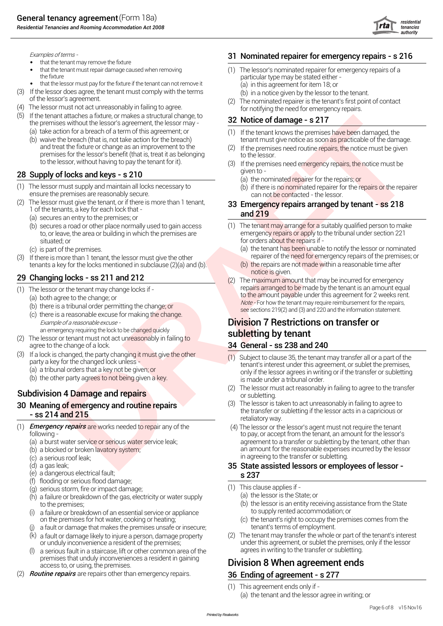

- that the tenant may remove the fixture
- that the tenant must repair damage caused when removing
- that the lessor must pay for the fixture if the tenant can not remove it (a) in this agreement for item 18; or
- (3) If the lessor does agree, the tenant must comply with the terms of the lessor's agreement.<br>
(4) The nominated repairer is the tenant's first point of contact<br>
(4) The lessor must not act unreasonably in failing to agre
- (4) The lessor must not act unreasonably in failing to agree.
- (5) If the tenant attaches a fixture, or makes a structural change, to the premises without the lessor's agreement, the lessor may  $\overline{32}$  Notice of damage s 217
	- (a) take action for a breach of a term of this agreement; or (1)
	- and treat the fixture or change as an improvement to the (2) premises for the lessor's benefit (that is, treat it as belonging to the lessor. to the lessor, without having to pay the tenant for it).

## 28 Supply of locks and keys - s 210

- (1) The lessor must supply and maintain all locks necessary to (b) if there is no nominated repairer for the repairs or the repairer ensure the premises are reasonably secure.
- ensure the premises are reasonably secure.<br>(2) The lessor must give the tenant, or if there is more than 1 tenant, **23. Emergancy renairs arranged by** (2) 1 of the tenants, a key for each lock that - **and 219** 
	- (a) secures an entry to the premises; or
	- situated; or for orders about the repairs if -
	-
- (3) If there is more than 1 tenant, the lessor must give the other repairer of the need for emergency repairs of the premises; or

- -
	-
	-
- an emergency requiring the lock to be changed quickly **subletting by tenant** (2) The lessor or tenant must not act unreasonably in failing to
- agree to the change of a lock. 34 General ss 238 and 240 (3) If a lock is changed, the party changing it must give the other
	- party a key for the changed lock unless -
	-
	- (b) the other party agrees to not being given a key.

- (1) Emergency repairs are works needed to repair any of the
	-
	-
	- (c) a serious roof leak;
	-
	- (e) a dangerous electrical fault;  $\sim$   $\sim$   $\sim$  237
	- (f) flooding or serious flood damage;
	-
	- $\begin{array}{ll}\n\text{(a) serious storm, fire or impact damage;} \\
	\text{(b) a failure or breakdown of the gas electricity or water sunolv}\n\end{array}\n\tag{1) This clause applies if -\n\end{array}$ (h) a failure or breakdown of the gas, electricity or water supply to the premises;
	- (i) a failure or breakdown of an essential service or appliance the supply rented accommodation; or
	- (j) a fault or damage that makes the premises unsafe or insecure; tenant's terms of employment.
	- $(k)$  a fault or damage likely to injure a person, damage property
	- (l) a serious fault in a staircase, lift or other common area of the agrees in writing to the transfer or subletting. premises that unduly inconveniences a resident in gaining
- (2) are repairs other than emergency repairs. 36 Ending of agreement s 277 Routine repairs

### Examples of terms - 31 Nominated repairer for emergency repairs - s 216

- that the tenant must repair damage caused when removing (1) The lessor's nominated repairer for emergency repairs of a<br>the fixture of a narticular type may be stated either particular type may be stated either -
	-
	-

- (b) waive the breach (that is, not take action for the breach) tenant must give notice as soon as practicable of the damage.  $(1)$  If the tenant knows the premises have been damaged, the
	- If the premises need routine repairs, the notice must be given
	- (3) If the premises need emergency repairs, the notice must be
		- (a) the nominated repairer for the repairs; or
		-

# 33 Emergency repairs arranged by tenant - ss 218

- (b) secures a road or other place normally used to gain access (1) The tenant may arrange for a suitably qualified person to make<br>to or leave, the area or building in which the premises are emergency repairs or apply to th emergency repairs or apply to the tribunal under section 221
- (c) is part of the premises.<br>If there is more than 1 tenant the lessor must give the other exact of the prepairer of the need for emergency repairs of the premises; or
- tenants a key for the locks mentioned in subclause (2)(a) and (b). (b) the repairs are not made within a reasonable time after<br>
notice is given.
- 29 Changing locks ss 211 and 212 (2) The maximum amount that may be incurred for emergency (1) The lessor or the tenant may change locks if -(a) both agree to the change; or  $\frac{1}{2}$  to the amount payable under this agreement for 2 weeks rent. (b) there is a tribunal order permitting the change; or<br>(c) there is a reasonable excuse for making the change.<br>(c) there is a reasonable excuse for making the change.

# Example of <sup>a</sup> reasonable excuse - Division 7 Restrictions on transfer or

- (1) Subject to clause 35, the tenant may transfer all or a part of the tenant's interest under this agreement, or sublet the premises, (a) <sup>a</sup> tribunal orders that <sup>a</sup> key not be given; or only if the lessor agrees in writing or if the transfer or subletting is made under a tribunal order.
- Subdivision 4 Damage and repairs (2) The lessor must act reasonably in failing to agree to the transfer<br>or subletting.
- **30 Meaning of emergency and routine repairs** (3) The lessor is taken to act unreasonably in failing to agree to the transfer or subletting if the lessor acts in a capricious or - so 214 and 215 retaliatory way.
- **Example the state is a state of the state of the state of the state of the state of the state of the state of the state of the state of the state of the state of the state of the state of the state of the state of the sta** following - to pay, or accept from the tenant, an amount for the lessor's (a) a burst water service or serious water service leak; and the service service service beam of the tenant, other than (b) a blocked or broken lavatory system; and a strong incurred by the lessor incurred by the lessor in agreeing to the transfer or subletting. (4) The lessor or the lessor's agent must not require the tenant

# (d) a gas leak; **35 State assisted lessors or employees of lessor -** 35 State assisted lessors or employees of lessor

- -
	- (b) the lessor is an entity receiving assistance from the State to supply rented accommodation; or
- on the premises for hot water, cooking or heating; (c) the tenant's right to occupy the premises comes from the
- a fault or damage likely to injure a person, damage property (2) The tenant may transfer the whole or part of the tenant's interest<br>or unduly inconvenience a resident of the premises; under this agreement, or sublet the pr under this agreement, or sublet the premises, only if the lessor

# Division 8 When agreement ends.

(1) This agreement ends only if - (a) the tenant and the lessor agree in writing; or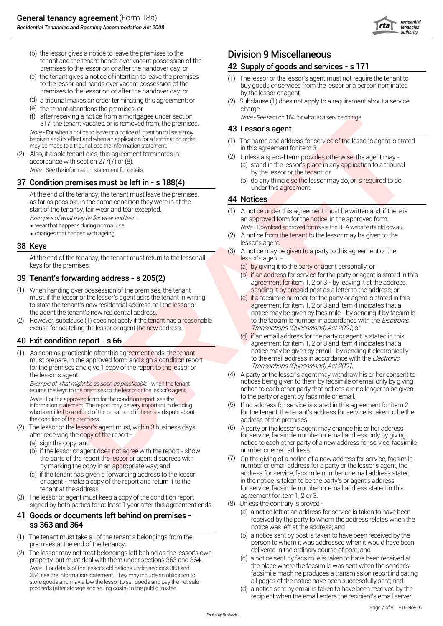

- (b) the lessor gives a notice to leave the premises to the **Division 9 Miscellaneous** tenant and the tenant hands over vacant possession of the premises to the lessor on or after the handover day; or **42 Supply of goods and services - s 171**
- (c) the tenant gives a notice of intention to leave the premises (1) The lessor or the lessor's agent must not require the tenant to to the lessor and hands over vacant possession of the  $\frac{1}{2}$  to the lessor or a person premises to the lessor on or after the handover day; or by the lessor or agent.
- (d) a tribunal makes an order terminating this agreement; or
- (e) charge. the tenant abandons the premises; or
- (f) after receiving a notice from a mortgagee under section  $\omega$  Note See section 164 for what is a service charge.<br>  $\omega$  and  $\omega$  For when a notice to leave or a notice of intention to leave may be given and its effe after receiving a notice from a mortgagee under section
- 

as far as possible, in the same condition they were in at the

- wear that happens during normal use
- changes that happen with ageing

At the end of the tenancy, the tenant must return to the lessor all<br>keys for the premises.

- (1) sending it by prepaid post as a letter to the address; or When handing over possession of the premises, the tenant must, if the lessor or the lessor's agent asks the tenant in writing (c) if a facsimile number for the party or agent is stated in this to state the tenant's new residential address. tell the lessor or and is agreement for to state the tenant's new residential address, tell the lessor or agreement for item 1, 2 or 3 and item 4 indicates that a<br>the agent the tenant's new residential address.
- (2) However, subclause (1) does not apply if the tenant has a reasonable to the facsimile number in accordance with the *Electronic* excuse for not telling the lessor or agent the new address. The new tell of the new address. Transactions (Queensland) Act 2001; or

 $n(n)$  As soon as practicable after this agreement ends, the tenant must prepare, in the approved form, and sign a condition report for the premises and give 1 copy of the report to the lessor or *Transactions (Queensland) Act 2001*.

Example of what might be as soon as practicable - when the tenant returns the keys to the premises to the lessor or the lessor's agent

Note - For the approved form for the condition report, see the information statement. The report may be very important in deciding<br>who is entitled to a refund of the rental bond if there is a dispute about

- (2) The lessor or the lessor's agent must, within 3 business days after receiving the copy of the report -
	-
	- (b) if the lessor or agent does not agree with the report show the parts of the report the lessor or agent disagrees with (7)
	- (c) if the tenant has given a forwarding address to the lessor address for service, facsimile number or email address stated resor or adent make a copy of the report and return it to the or agent - make a copy of the report and return it to the
- agreement for item 1, 2 or 3. (3) The lessor or agent must keep a copy of the condition report

### 41 Goods or documents left behind on premises **ss 363 and 364** notice was left at the address; and

- 
- (2) The lessor may not treat belongings left behind as the lessor's own delivered in the ordinary course of post; and<br>Interventy but must deal with them under sections 363 and 364 (3) a notice sent by facsimile is taken to property, but must deal with them under sections 363 and 364.<br>Note - For details of the lessor's obligations under sections 363 and 364. 364, see the information statement. They may include an obligation to store goods and may allow the lessor to sell goods and pay the net sale proceeds (after storage and selling costs) to the public trustee.

- buy goods or services from the lessor or a person nominated
- (2) Subclause (1) does not apply to a requirement about a service

- be given and its effect and when an application for a termination order (1) The name and address for service of the lessor's agent is stated<br>may be made to a tribunal, see the information statement.<br>(2) Also, if a sole ten
	- Also, if a sole tenant dies, this agreement terminates in (2) Unless a special term provides otherwise, the agent may -<br>accordance with section 277(7) or (8). (a) stand in the lessor's place in any application to a tribuna Note - See the information statement for details.<br>by the lessor or the tenant; or Unless a special term provides otherwise, the agent may -
- 37 Condition premises must be left in s  $188(4)$  (b) do any thing else the lessor may do, or is required to do,  $\frac{1}{25}$  at the end of the tenancy, the tenant must leave the premises, as far as possible in the same co

- start of the tenancy, fair wear and tear excepted. (1) A notice under this agreement must be written and, if there is<br>Examples of what may be fair wear and tear an approved form for the notice, in the approved form. Note - Download approved forms via the RTA website rta.qld.gov.au.
- $(2)$  A notice from the tenant to the lessor may be given to the lessor's agent. 38 Keys
	- (3) A notice may be given to a party to this agreement or the
		- (a) by giving it to the party or agent personally; or
- **19 Tenant's forwarding address s 205(2)** (b) if an address for service for the party or agent is stated in this agreement for item 1, 2 or 3 by leaving it at the address,<br>
(1) When handing over possession of the prem
- vective functions of the thermal term interesting of the season is the season of the thermal term interesting of the thermal term interesting of the thermal term interesting of the thermal term interesting of the thermal notice may be given by facsimile - by sending it by facsimile
- **40 Exit condition report s 66** (d) if an email address for the party or agent is stated in this agreement for item 1, 2 or 3 and item 4 indicates that a<br>(1) As soon as practicable after this agreement ends, the tenant n to the email address in accordance with the Electronic
	- the lessor's agent may withdraw his or her consent to<br>Frame of what might be as soon as practicable when the tenant<br>protices being given to them by facsimile or email only by giving notice to each other party that notices are no longer to be given<br>to the party or agent by facsimile or email. A party or the lessor's agent may withdraw his or her consent to
	- who is entitled to a refund of the rental bond if there is a dispute about for the tenant, the tenant's address for service is taken to be the the condition of the premises. address of the premises.  $(5)$  If no address for service is stated in this agreement for item 2
	- for service, facsimile number or email address only by giving (a) sign the copy; and a notice to each other party of a new address for service, facsimile<br>(b) if the lessor or agent does not agree with the report - show number or email address.  $(6)$  A party or the lessor's agent may change his or her address
		- by marking the copy in an appropriate way; and number or email address for a party or the lessor's agent, the<br>If the tenant has given a forwarding address to the lessor and address for service, facsimile number or email ad tenant at the address.<br>
		lessor or agent must keep a copy of the condition report and agreement for item 1, 2 or 3. On the giving of a notice of a new address for service, facsimile
			-
	- signed by both parties for at least 1 year after this agreement ends. (8) Unless the contrary is proved -<br>Coode or dooumente left bobind on promines received by the party to whom the address relates when the
- (1) The tenant must take all of the tenant's belongings from the (b) a notice sent by post is taken to have been received by the person to whom it was addressed when it would have been person to whom it was addressed when person to whom it was addressed when it would have been<br>delivered in the ordinary course of post; and
	- facsimile machine produces a transmission report indicating<br>all pages of the notice have been successfully sent; and
	- (d) a notice sent by email is taken to have been received by the recipient when the email enters the recipient's email server.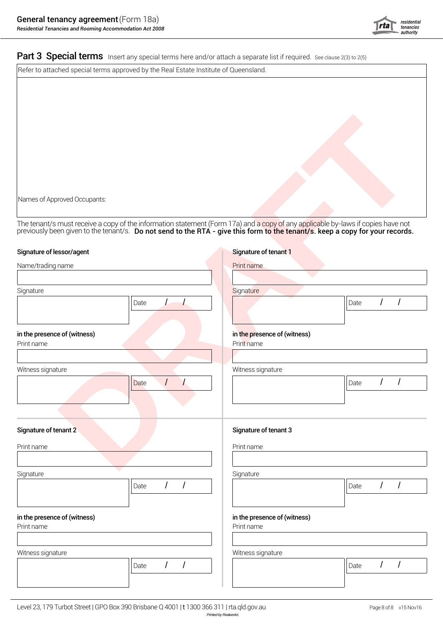

Part 3 Special terms Insert any special terms here and/or attach a separate list if required. See clause 2(3) to 2(5)

Refer to attached special terms approved by the Real Estate Institute of Queensland.

| Names of Approved Occupants:                                                                                                                                                                                                   |                                            |            |  |  |
|--------------------------------------------------------------------------------------------------------------------------------------------------------------------------------------------------------------------------------|--------------------------------------------|------------|--|--|
| The tenant/s must receive a copy of the information statement (Form 17a) and a copy of any applicable by-laws if copies have not previously been given to the tenant/s. Do not send to the RTA - give this form to the tenant/ |                                            |            |  |  |
| Signature of lessor/agent                                                                                                                                                                                                      | Signature of tenant 1                      |            |  |  |
| Name/trading name                                                                                                                                                                                                              | Print name                                 |            |  |  |
| Signature                                                                                                                                                                                                                      | Signature                                  |            |  |  |
| $\perp$<br>Date                                                                                                                                                                                                                | $\prime$<br>Date                           | $\sqrt{ }$ |  |  |
| in the presence of (witness)<br>Print name                                                                                                                                                                                     | in the presence of (witness)<br>Print name |            |  |  |
| Witness signature<br>$\overline{1}$<br>Date                                                                                                                                                                                    | Witness signature<br>Date                  | $\sqrt{ }$ |  |  |
|                                                                                                                                                                                                                                |                                            |            |  |  |
| Signature of tenant 2                                                                                                                                                                                                          | Signature of tenant 3                      |            |  |  |
| Print name                                                                                                                                                                                                                     | Print name                                 |            |  |  |
| Signature<br>$\prime$<br>$\sqrt{2}$<br>Date                                                                                                                                                                                    | Signature<br>$1 \quad 1$<br>Date           |            |  |  |
| in the presence of (witness)<br>Print name                                                                                                                                                                                     | in the presence of (witness)<br>Print name |            |  |  |
| Witness signature                                                                                                                                                                                                              | Witness signature                          |            |  |  |
| $\sqrt{2}$<br>$\prime$<br>Date                                                                                                                                                                                                 | $\sqrt{2}$<br>Date                         | $\sqrt{ }$ |  |  |
|                                                                                                                                                                                                                                |                                            |            |  |  |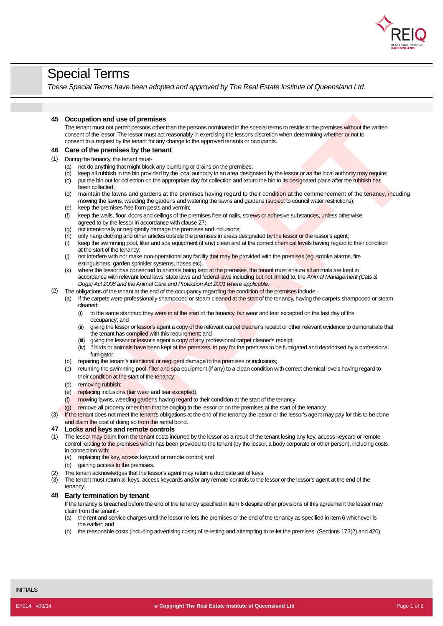

# Special Terms

*These Special Terms have been adopted and approved by The Real Estate Institute of Queensland Ltd.*

### **45 Occupation and use of premises**

The tenant must not permit persons other than the persons nominated in the special terms to reside at the premises without the written consent of the lessor. The lessor must act reasonably in exercising the lessor's discretion when determining whether or not to consent to a request by the tenant for any change to the approved tenants or occupants.

### **46 Care of the premises by the tenant**

- (1) During the tenancy, the tenant must-
	- (a) not do anything that might block any plumbing or drains on the premises;
	- $(h)$ keep all rubbish in the bin provided by the local authority in an area designated by the lessor or as the local authority may require;
	- (c) been collected; put the bin out for collection on the appropriate day for collection and return the bin to its designated place after the rubbish has
	- (d) maintain the lawns and gardens at the premises having regard to their condition at the commencement of the tenancy, incuding mowing the lawns, weeding the gardens and watering the lawns and gardens (subject to council water restrictions);
	- (e) keep the premises free from pests and vermin;
	- (f) agreed to by the lessor in accordance with clause 27; keep the walls, floor, doors and ceilings of the premises free of nails, screws or adhesive substances, unless otherwise
	- (g) not intentionally or negligently damage the premises and inclusions;
	- (h) only hang clothing and other articles outside the premises in areas designated by the lessor or the lessor's agent;
	- (i) at the start of the tenancy; keep the swimming pool, filter and spa equipment (if any) clean and at the correct chemical levels having regard to their condition
	- (j) extinguishers, garden sprinkler systems, hoses etc). not interfere with nor make non-operational any facility that may be provided with the premises (eg. smoke alarms, fire
	- (k) where the lessor has consented to animals being kept at the premises, the tenant must ensure all animals are kept in accordance with relevant local laws, state laws and federal laws including but not limited to, the *Animal Management (Cats & Dogs) Act 2008 and theAnimal Care and Protection Act 2001 where applicable.*

### (2) The obligations of the tenant at the end of the occupancy regarding the condition of the premises include -

- (a) If the carpets were professionally shampooed or steam cleaned at the start of the tenancy, having the carpets shampooed or steam cleaned:
	- (i) occupancy; and to the same standard they were in at the start of the tenancy, fair wear and tear excepted on the last day of the
	- (ii) giving the lessor or lessor's agent a copy of the relevant carpet cleaner's receipt or other relevant evidence to demonstrate that the tenant has complied with this requirement; and
	- (iii) giving the lessor or lessor's agent a copy of any professional carpet cleaner's receipt;
	- (iv) if birds or animals have been kept at the premises, to pay for the premises to be fumigated and deodorised by a professional fumigator.
- (b) repairing the tenant's intentional or negligent damage to the premises or inclusions;
- (c) returning the swimming pool, filter and spa equipment (if any) to a clean condition with correct chemical levels having regard to their condition at the start of the tenancy;
- (d) removing rubbish;
- (e) replacing inclusions (fair wear and tear excepted);
- (f) mowing lawns, weeding gardens having regard to their condition at the start of the tenancy;
- (g) remove all property othe<mark>r than t</mark>hat belonging to the lessor or on the premises at the start of the tenancy.
- (3) If the tenant does not meet the tenant's obligations at the end of the tenancy the lessor or the lessor's agent may pay for this to be done and claim the cost of doing so from the rental bond.

### **47 Locks and keys and remote controls**

- **December and use of premises**<br>
The terms in the state of premise the first present contribute it is expected and the premise single the state<br>
of contributions of the state of the state of the state of the state of the st (1) The lessor may claim from the tenant costs incurred by the lessor as a result of the tenant losing any key, access keycard or remote control relating to the premises which has been provided to the tenant (by the lessor, a body corporate or other person), including costs in connection with:
	- (a) replacing the key, access keycard or remote control; and
	- (b) gaining access to the premises.
- (2) The tenant acknowledges that the lessor's agent may retain a duplicate set of keys.
- (3) tenancy. The tenant must return all keys, access keycards and/or any remote controls to the lessor or the lessor's agent at the end of the

### **48 Early termination by tenant**

If the tenancy is breached before the end of the tenancy specified in item 6 despite other provisions of this agreement the lessor may claim from the tenant -

- (a) the earlier; and the rent and service charges until the lessor re-lets the premises or the end of the tenancy as specified in item 6 whichever is
- (b) the reasonable costs (including advertising costs) of re-letting and attempting to re-let the premises. (Sections 173(2) and 420).